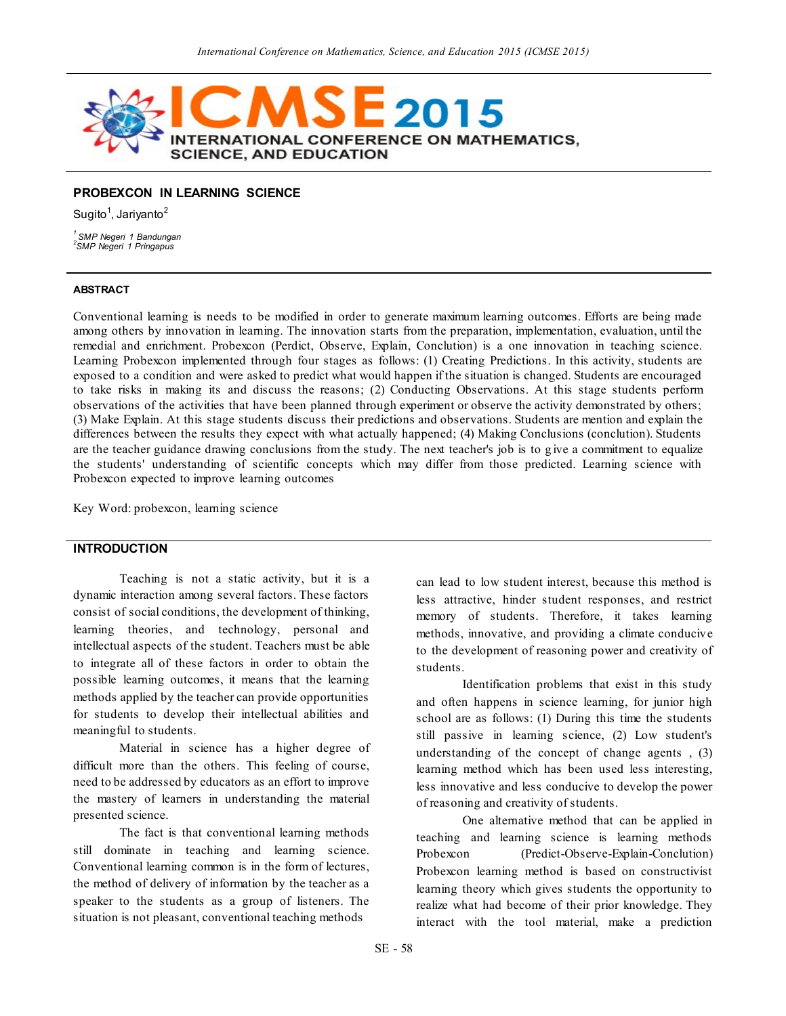

## **PROBEXCON IN LEARNING SCIENCE**

Sugito<sup>1</sup>, Jariyanto<sup>2</sup>

*1.SMP Negeri 1 Bandungan 2 SMP Negeri 1 Pringapus*

# **ABSTRACT**

Conventional learning is needs to be modified in order to generate maximum learning outcomes. Efforts are being made among others by innovation in learning. The innovation starts from the preparation, implementation, evaluation, until the remedial and enrichment. Probexcon (Perdict, Observe, Explain, Conclution) is a one innovation in teaching science. Learning Probexcon implemented through four stages as follows: (1) Creating Predictions. In this activity, students are exposed to a condition and were asked to predict what would happen if the situation is changed. Students are encouraged to take risks in making its and discuss the reasons; (2) Conducting Observations. At this stage students perform observations of the activities that have been planned through experiment or observe the activity demonstrated by others; (3) Make Explain. At this stage students discuss their predictions and observations. Students are mention and explain the differences between the results they expect with what actually happened; (4) Making Conclusions (conclution). Students are the teacher guidance drawing conclusions from the study. The next teacher's job is to g ive a commitment to equalize the students' understanding of scientific concepts which may differ from those predicted. Learning science with Probexcon expected to improve learning outcomes

Key Word: probexcon, learning science

## **INTRODUCTION**

Teaching is not a static activity, but it is a dynamic interaction among several factors. These factors consist of social conditions, the development of thinking, learning theories, and technology, personal and intellectual aspects of the student. Teachers must be able to integrate all of these factors in order to obtain the possible learning outcomes, it means that the learning methods applied by the teacher can provide opportunities for students to develop their intellectual abilities and meaningful to students.

Material in science has a higher degree of difficult more than the others. This feeling of course, need to be addressed by educators as an effort to improve the mastery of learners in understanding the material presented science.

The fact is that conventional learning methods still dominate in teaching and learning science. Conventional learning common is in the form of lectures, the method of delivery of information by the teacher as a speaker to the students as a group of listeners. The situation is not pleasant, conventional teaching methods

can lead to low student interest, because this method is less attractive, hinder student responses, and restrict memory of students. Therefore, it takes learning methods, innovative, and providing a climate conducive to the development of reasoning power and creativity of students.

Identification problems that exist in this study and often happens in science learning, for junior high school are as follows: (1) During this time the students still passive in learning science, (2) Low student's understanding of the concept of change agents , (3) learning method which has been used less interesting, less innovative and less conducive to develop the power of reasoning and creativity of students.

One alternative method that can be applied in teaching and learning science is learning methods Probexcon (Predict-Observe-Explain-Conclution) Probexcon learning method is based on constructivist learning theory which gives students the opportunity to realize what had become of their prior knowledge. They interact with the tool material, make a prediction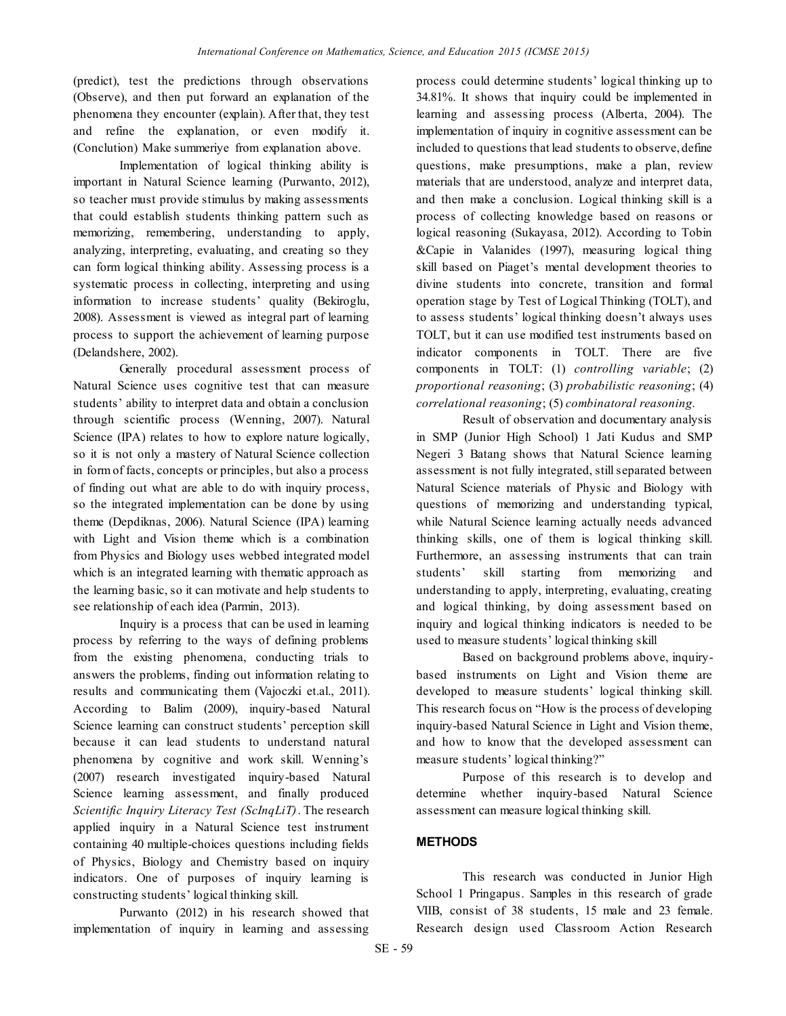(predict), test the predictions through observations (Observe), and then put forward an explanation of the phenomena they encounter (explain). After that, they test and refine the explanation, or even modify it. (Conclution) Make summeriye from explanation above.

Implementation of logical thinking ability is important in Natural Science learning (Purwanto, 2012), so teacher must provide stimulus by making assessments that could establish students thinking pattern such as memorizing, remembering, understanding to apply, analyzing, interpreting, evaluating, and creating so they can form logical thinking ability. Assessing process is a systematic process in collecting, interpreting and using information to increase students' quality (Bekiroglu, 2008). Assessment is viewed as integral part of learning process to support the achievement of learning purpose (Delandshere, 2002).

Generally procedural assessment process of Natural Science uses cognitive test that can measure students' ability to interpret data and obtain a conclusion through scientific process (Wenning, 2007). Natural Science (IPA) relates to how to explore nature logically, so it is not only a mastery of Natural Science collection in form of facts, concepts or principles, but also a process of finding out what are able to do with inquiry process, so the integrated implementation can be done by using theme (Depdiknas, 2006). Natural Science (IPA) learning with Light and Vision theme which is a combination from Physics and Biology uses webbed integrated model which is an integrated learning with thematic approach as the learning basic, so it can motivate and help students to see relationship of each idea (Parmin, 2013).

Inquiry is a process that can be used in learning process by referring to the ways of defining problems from the existing phenomena, conducting trials to answers the problems, finding out information relating to results and communicating them (Vajoczki et.al., 2011). According to Balim (2009), inquiry-based Natural Science learning can construct students' perception skill because it can lead students to understand natural phenomena by cognitive and work skill. Wenning's (2007) research investigated inquiry-based Natural Science learning assessment, and finally produced *Scientific Inquiry Literacy Test (ScInqLiT)*. The research applied inquiry in a Natural Science test instrument containing 40 multiple-choices questions including fields of Physics, Biology and Chemistry based on inquiry indicators. One of purposes of inquiry learning is constructing students' logical thinking skill.

Purwanto (2012) in his research showed that implementation of inquiry in learning and assessing

process could determine students' logical thinking up to 34.81%. It shows that inquiry could be implemented in learning and assessing process (Alberta, 2004). The implementation of inquiry in cognitive assessment can be included to questions that lead students to observe, define questions, make presumptions, make a plan, review materials that are understood, analyze and interpret data, and then make a conclusion. Logical thinking skill is a process of collecting knowledge based on reasons or logical reasoning (Sukayasa, 2012). According to Tobin &Capie in Valanides (1997), measuring logical thing skill based on Piaget's mental development theories to divine students into concrete, transition and formal operation stage by Test of Logical Thinking (TOLT), and to assess students' logical thinking doesn't always uses TOLT, but it can use modified test instruments based on indicator components in TOLT. There are five components in TOLT: (1) *controlling variable*; (2) *proportional reasoning*; (3) *probabilistic reasoning*; (4) *correlational reasoning*; (5) *combinatoral reasoning.*

Result of observation and documentary analysis in SMP (Junior High School) 1 Jati Kudus and SMP Negeri 3 Batang shows that Natural Science learning assessment is not fully integrated, still separated between Natural Science materials of Physic and Biology with questions of memorizing and understanding typical, while Natural Science learning actually needs advanced thinking skills, one of them is logical thinking skill. Furthermore, an assessing instruments that can train students' skill starting from memorizing and understanding to apply, interpreting, evaluating, creating and logical thinking, by doing assessment based on inquiry and logical thinking indicators is needed to be used to measure students' logical thinking skill

Based on background problems above, inquirybased instruments on Light and Vision theme are developed to measure students' logical thinking skill. This research focus on "How is the process of developing inquiry-based Natural Science in Light and Vision theme, and how to know that the developed assessment can measure students' logical thinking?"

Purpose of this research is to develop and determine whether inquiry-based Natural Science assessment can measure logical thinking skill.

# **METHODS**

This research was conducted in Junior High School 1 Pringapus. Samples in this research of grade VIIB, consist of 38 students, 15 male and 23 female. Research design used Classroom Action Research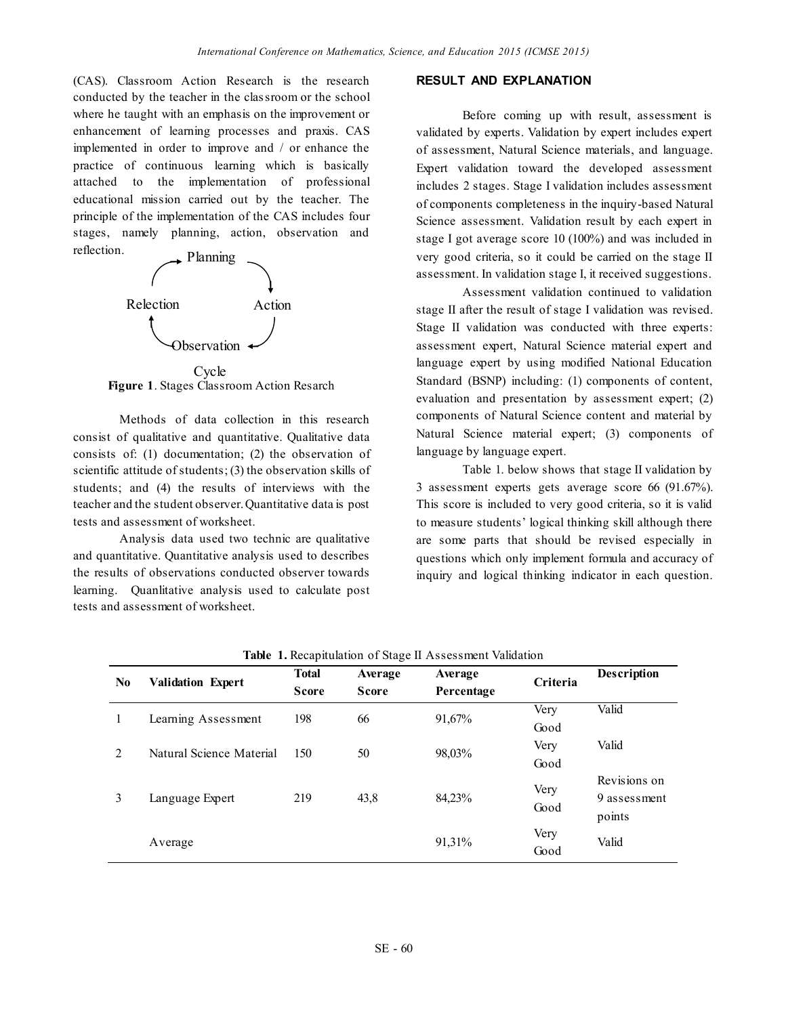(CAS). Classroom Action Research is the research conducted by the teacher in the classroom or the school where he taught with an emphasis on the improvement or enhancement of learning processes and praxis. CAS implemented in order to improve and / or enhance the practice of continuous learning which is basically attached to the implementation of professional educational mission carried out by the teacher. The principle of the implementation of the CAS includes four stages, namely planning, action, observation and reflection.



**Figure 1**. Stages Classroom Action Resarch Cycle

Methods of data collection in this research consist of qualitative and quantitative. Qualitative data consists of: (1) documentation; (2) the observation of scientific attitude of students; (3) the observation skills of students; and (4) the results of interviews with the teacher and the student observer. Quantitative data is post tests and assessment of worksheet.

Analysis data used two technic are qualitative and quantitative. Quantitative analysis used to describes the results of observations conducted observer towards learning. Quanlitative analysis used to calculate post tests and assessment of worksheet.

## **RESULT AND EXPLANATION**

Before coming up with result, assessment is validated by experts. Validation by expert includes expert of assessment, Natural Science materials, and language. Expert validation toward the developed assessment includes 2 stages. Stage I validation includes assessment of components completeness in the inquiry-based Natural Science assessment. Validation result by each expert in stage I got average score 10 (100%) and was included in very good criteria, so it could be carried on the stage II assessment. In validation stage I, it received suggestions.

Assessment validation continued to validation stage II after the result of stage I validation was revised. Stage II validation was conducted with three experts: assessment expert, Natural Science material expert and language expert by using modified National Education Standard (BSNP) including: (1) components of content, evaluation and presentation by assessment expert; (2) components of Natural Science content and material by Natural Science material expert; (3) components of language by language expert.

Table 1. below shows that stage II validation by 3 assessment experts gets average score 66 (91.67%). This score is included to very good criteria, so it is valid to measure students' logical thinking skill although there are some parts that should be revised especially in questions which only implement formula and accuracy of inquiry and logical thinking indicator in each question.

| N <sub>0</sub> | <b>Validation Expert</b> | <b>Total</b><br><b>Score</b> | Average<br><b>Score</b> | <b>Table 1. Keephamatoli</b> of biage if <i>i</i> too coolitent vandation<br>Average<br>Percentage | Criteria     | <b>Description</b>                     |
|----------------|--------------------------|------------------------------|-------------------------|----------------------------------------------------------------------------------------------------|--------------|----------------------------------------|
| L              | Learning Assessment      | 198                          | 66                      | 91,67%                                                                                             | Very<br>Good | Valid                                  |
| $\mathfrak{D}$ | Natural Science Material | 150                          | 50                      | 98,03%                                                                                             | Very<br>Good | Valid                                  |
| 3              | Language Expert          | 219                          | 43,8                    | 84,23%                                                                                             | Very<br>Good | Revisions on<br>9 assessment<br>points |
|                | Average                  |                              |                         | 91,31%                                                                                             | Very<br>Good | Valid                                  |

**Table 1.** Recapitulation of Stage II Assessment Validation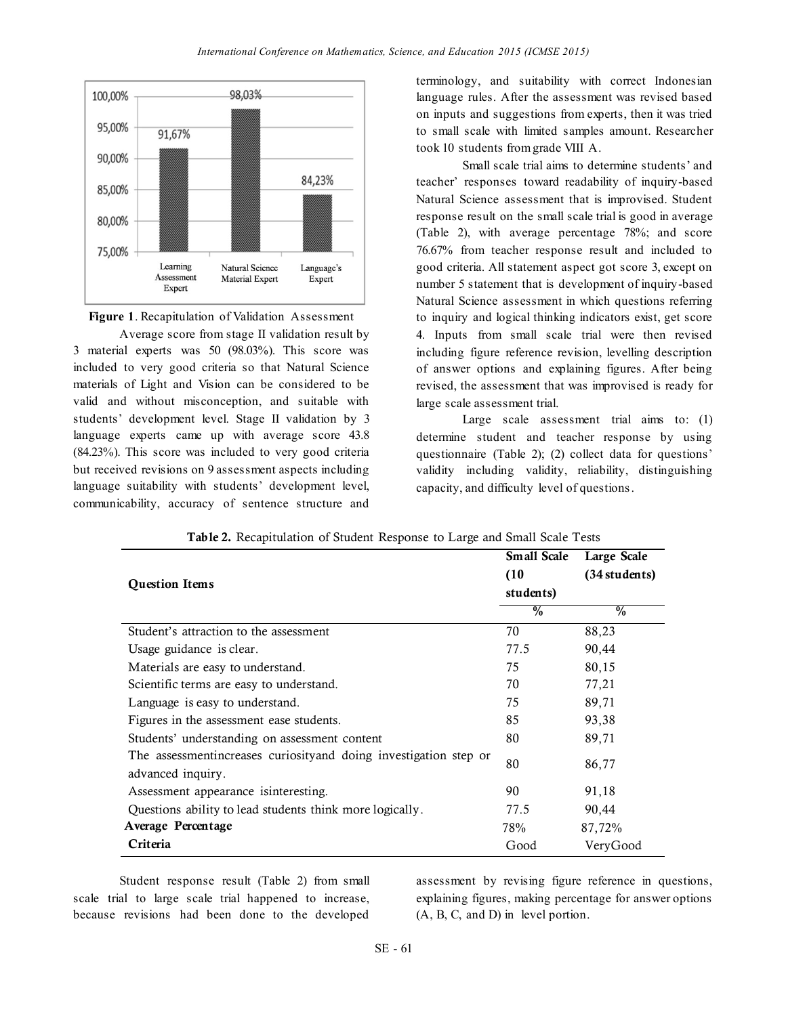



Average score from stage II validation result by 3 material experts was 50 (98.03%). This score was included to very good criteria so that Natural Science materials of Light and Vision can be considered to be valid and without misconception, and suitable with students' development level. Stage II validation by 3 language experts came up with average score 43.8 (84.23%). This score was included to very good criteria but received revisions on 9 assessment aspects including language suitability with students' development level, communicability, accuracy of sentence structure and terminology, and suitability with correct Indonesian language rules. After the assessment was revised based on inputs and suggestions from experts, then it was tried to small scale with limited samples amount. Researcher took 10 students from grade VIII A.

Small scale trial aims to determine students' and teacher' responses toward readability of inquiry-based Natural Science assessment that is improvised. Student response result on the small scale trial is good in average (Table 2), with average percentage 78%; and score 76.67% from teacher response result and included to good criteria. All statement aspect got score 3, except on number 5 statement that is development of inquiry-based Natural Science assessment in which questions referring to inquiry and logical thinking indicators exist, get score 4. Inputs from small scale trial were then revised including figure reference revision, levelling description of answer options and explaining figures. After being revised, the assessment that was improvised is ready for large scale assessment trial.

Large scale assessment trial aims to: (1) determine student and teacher response by using questionnaire (Table 2): (2) collect data for questions' validity including validity, reliability, distinguishing capacity, and difficulty level of questions.

|                                                                    | <b>Small Scale</b> | Large Scale     |
|--------------------------------------------------------------------|--------------------|-----------------|
|                                                                    | (10)               | $(34$ students) |
| <b>Question Items</b>                                              | students)          |                 |
|                                                                    | $\%$               | $\frac{0}{0}$   |
| Student's attraction to the assessment                             | 70                 | 88,23           |
| Usage guidance is clear.                                           | 77.5               | 90,44           |
| Materials are easy to understand.                                  | 75                 | 80,15           |
| Scientific terms are easy to understand.                           | 70                 | 77,21           |
| Language is easy to understand.                                    | 75                 | 89,71           |
| Figures in the assessment ease students.                           | 85                 | 93,38           |
| Students' understanding on assessment content                      | 80                 | 89,71           |
| The assessment increases curiosity and doing investigation step or | 80                 | 86,77           |
| advanced inquiry.                                                  |                    |                 |
| Assessment appearance isinteresting.                               | 90                 | 91,18           |
| Questions ability to lead students think more logically.           | 77.5               | 90,44           |
| Average Percentage                                                 | 78%                | 87,72%          |
| Criteria                                                           | Good               | VeryGood        |

**Table 2.** Recapitulation of Student Response to Large and Small Scale Tests

Student response result (Table 2) from small scale trial to large scale trial happened to increase, because revisions had been done to the developed

assessment by revising figure reference in questions, explaining figures, making percentage for answer options (A, B, C, and D) in level portion.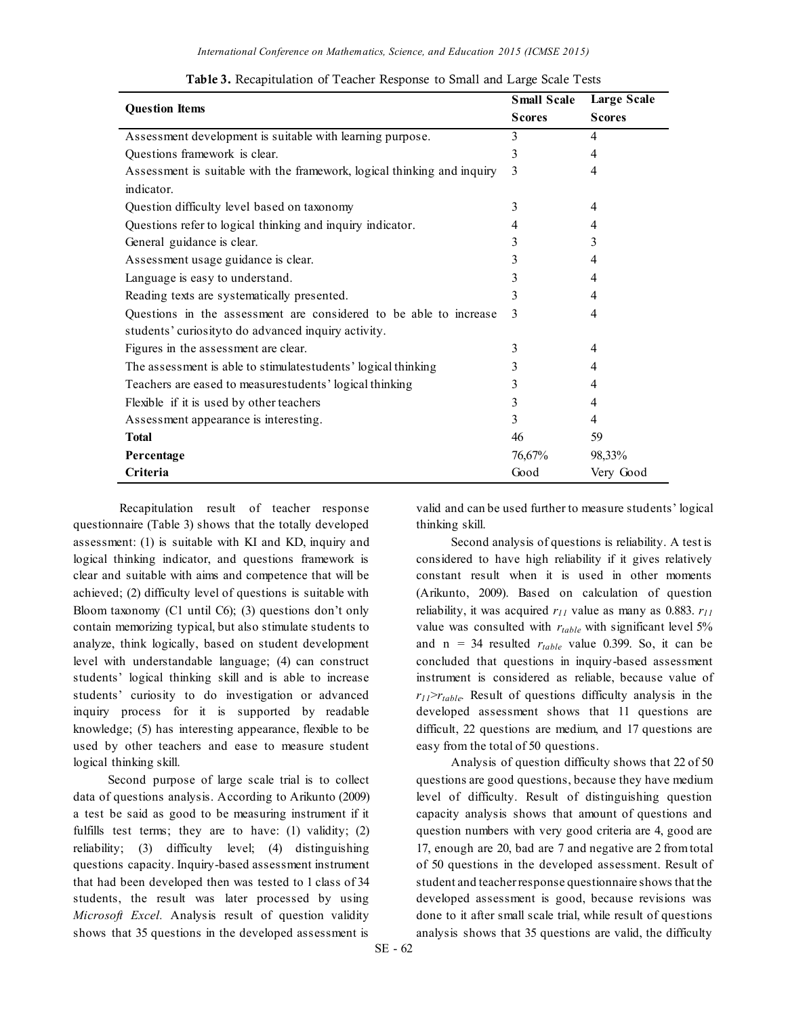| <b>Question Items</b>                                                   | <b>Small Scale</b> | <b>Large Scale</b> |
|-------------------------------------------------------------------------|--------------------|--------------------|
|                                                                         | <b>Scores</b>      | <b>Scores</b>      |
| Assessment development is suitable with learning purpose.               | 3                  | 4                  |
| Questions framework is clear.                                           | 3                  | 4                  |
| Assessment is suitable with the framework, logical thinking and inquiry | 3                  | 4                  |
| indicator.                                                              |                    |                    |
| Question difficulty level based on taxonomy                             | 3                  | 4                  |
| Questions refer to logical thinking and inquiry indicator.              | 4                  | 4                  |
| General guidance is clear.                                              | 3                  | 3                  |
| Assessment usage guidance is clear.                                     | 3                  | 4                  |
| Language is easy to understand.                                         | 3                  | 4                  |
| Reading texts are systematically presented.                             | 3                  | 4                  |
| Questions in the assessment are considered to be able to increase       | 3                  | 4                  |
| students' curiosity to do advanced inquiry activity.                    |                    |                    |
| Figures in the assessment are clear.                                    | 3                  | 4                  |
| The assessment is able to stimulate students' logical thinking          | 3                  | 4                  |
| Teachers are eased to measurestudents' logical thinking                 | 3                  | 4                  |
| Flexible if it is used by other teachers                                | 3                  | 4                  |
| Assessment appearance is interesting.                                   | 3                  | 4                  |
| <b>Total</b>                                                            | 46                 | 59                 |
| Percentage                                                              | 76,67%             | 98,33%             |
| Criteria                                                                | Good               | Very Good          |

**Table 3.** Recapitulation of Teacher Response to Small and Large Scale Tests

Recapitulation result of teacher response questionnaire (Table 3) shows that the totally developed assessment: (1) is suitable with KI and KD, inquiry and logical thinking indicator, and questions framework is clear and suitable with aims and competence that will be achieved; (2) difficulty level of questions is suitable with Bloom taxonomy (C1 until C6); (3) questions don't only contain memorizing typical, but also stimulate students to analyze, think logically, based on student development level with understandable language; (4) can construct students' logical thinking skill and is able to increase students' curiosity to do investigation or advanced inquiry process for it is supported by readable knowledge; (5) has interesting appearance, flexible to be used by other teachers and ease to measure student logical thinking skill.

Second purpose of large scale trial is to collect data of questions analysis. According to Arikunto (2009) a test be said as good to be measuring instrument if it fulfills test terms; they are to have: (1) validity; (2) reliability; (3) difficulty level; (4) distinguishing questions capacity. Inquiry-based assessment instrument that had been developed then was tested to 1 class of 34 students, the result was later processed by using *Microsoft Excel.* Analysis result of question validity shows that 35 questions in the developed assessment is

valid and can be used further to measure students' logical thinking skill.

Second analysis of questions is reliability. A test is considered to have high reliability if it gives relatively constant result when it is used in other moments (Arikunto, 2009). Based on calculation of question reliability, it was acquired *r<sup>11</sup>* value as many as 0.883. *r<sup>11</sup>* value was consulted with *rtable* with significant level 5% and  $n = 34$  resulted  $r_{table}$  value 0.399. So, it can be concluded that questions in inquiry-based assessment instrument is considered as reliable, because value of  $r_{11}$ > $r_{table}$ . Result of questions difficulty analysis in the developed assessment shows that 11 questions are difficult, 22 questions are medium, and 17 questions are easy from the total of 50 questions.

Analysis of question difficulty shows that 22 of 50 questions are good questions, because they have medium level of difficulty. Result of distinguishing question capacity analysis shows that amount of questions and question numbers with very good criteria are 4, good are 17, enough are 20, bad are 7 and negative are 2 from total of 50 questions in the developed assessment. Result of student and teacher response questionnaire shows that the developed assessment is good, because revisions was done to it after small scale trial, while result of questions analysis shows that 35 questions are valid, the difficulty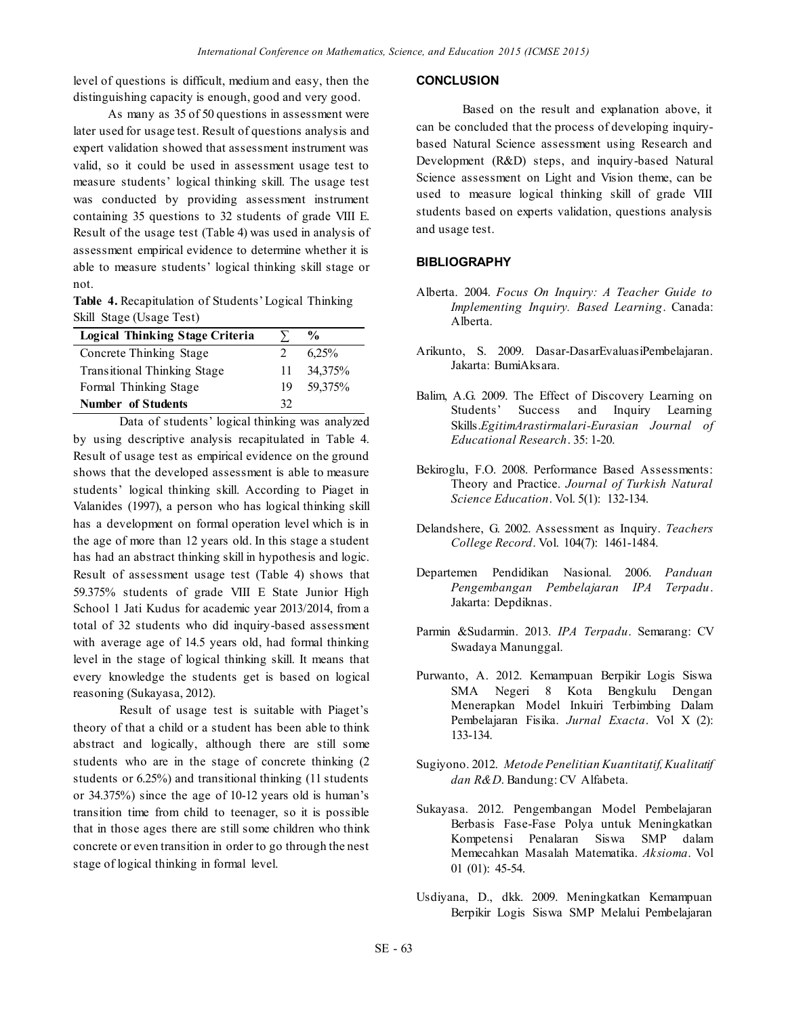level of questions is difficult, medium and easy, then the distinguishing capacity is enough, good and very good.

As many as 35 of 50 questions in assessment were later used for usage test. Result of questions analysis and expert validation showed that assessment instrument was valid, so it could be used in assessment usage test to measure students' logical thinking skill. The usage test was conducted by providing assessment instrument containing 35 questions to 32 students of grade VIII E. Result of the usage test (Table 4) was used in analysis of assessment empirical evidence to determine whether it is able to measure students' logical thinking skill stage or not.

**Table 4.** Recapitulation of Students' Logical Thinking Skill Stage (Usage Test)

| <b>Logical Thinking Stage Criteria</b> |             | $\frac{6}{9}$ |
|----------------------------------------|-------------|---------------|
| Concrete Thinking Stage                | $2^{\circ}$ | 6.25%         |
| <b>Transitional Thinking Stage</b>     | 11.         | 34,375%       |
| Formal Thinking Stage                  | 19          | 59,375%       |
| <b>Number of Students</b>              | 32          |               |

Data of students' logical thinking was analyzed by using descriptive analysis recapitulated in Table 4. Result of usage test as empirical evidence on the ground shows that the developed assessment is able to measure students' logical thinking skill. According to Piaget in Valanides (1997), a person who has logical thinking skill has a development on formal operation level which is in the age of more than 12 years old. In this stage a student has had an abstract thinking skill in hypothesis and logic. Result of assessment usage test (Table 4) shows that 59.375% students of grade VIII E State Junior High School 1 Jati Kudus for academic year 2013/2014, from a total of 32 students who did inquiry-based assessment with average age of 14.5 years old, had formal thinking level in the stage of logical thinking skill. It means that every knowledge the students get is based on logical reasoning (Sukayasa, 2012).

Result of usage test is suitable with Piaget's theory of that a child or a student has been able to think abstract and logically, although there are still some students who are in the stage of concrete thinking (2 students or 6.25%) and transitional thinking (11 students or 34.375%) since the age of 10-12 years old is human's transition time from child to teenager, so it is possible that in those ages there are still some children who think concrete or even transition in order to go through the nest stage of logical thinking in formal level.

#### **CONCLUSION**

Based on the result and explanation above, it can be concluded that the process of developing inquirybased Natural Science assessment using Research and Development (R&D) steps, and inquiry-based Natural Science assessment on Light and Vision theme, can be used to measure logical thinking skill of grade VIII students based on experts validation, questions analysis and usage test.

## **BIBLIOGRAPHY**

- Alberta. 2004. *Focus On Inquiry: A Teacher Guide to Implementing Inquiry. Based Learning*. Canada: Alberta.
- Arikunto, S. 2009. Dasar-DasarEvaluasiPembelajaran. Jakarta: BumiAksara.
- Balim, A.G. 2009. The Effect of Discovery Learning on Students' Success and Inquiry Learning Skills.*EgitimArastirmalari-Eurasian Journal of Educational Research*. 35: 1-20.
- Bekiroglu, F.O. 2008. Performance Based Assessments: Theory and Practice. *Journal of Turkish Natural Science Education*. Vol. 5(1): 132-134.
- Delandshere, G. 2002. Assessment as Inquiry. *Teachers College Record*. Vol. 104(7): 1461-1484.
- Departemen Pendidikan Nasional. 2006. *Panduan Pengembangan Pembelajaran IPA Terpadu*. Jakarta: Depdiknas.
- Parmin &Sudarmin. 2013. *IPA Terpadu*. Semarang: CV Swadaya Manunggal.
- Purwanto, A. 2012. Kemampuan Berpikir Logis Siswa SMA Negeri 8 Kota Bengkulu Dengan Menerapkan Model Inkuiri Terbimbing Dalam Pembelajaran Fisika. *Jurnal Exacta*. Vol X (2): 133-134.
- Sugiyono. 2012. *Metode Penelitian Kuantitatif, Kualitatif dan R&D*. Bandung: CV Alfabeta.
- Sukayasa. 2012. Pengembangan Model Pembelajaran Berbasis Fase-Fase Polya untuk Meningkatkan Kompetensi Penalaran Siswa SMP dalam Memecahkan Masalah Matematika. *Aksioma*. Vol 01 (01): 45-54.
- Usdiyana, D., dkk. 2009. Meningkatkan Kemampuan Berpikir Logis Siswa SMP Melalui Pembelajaran